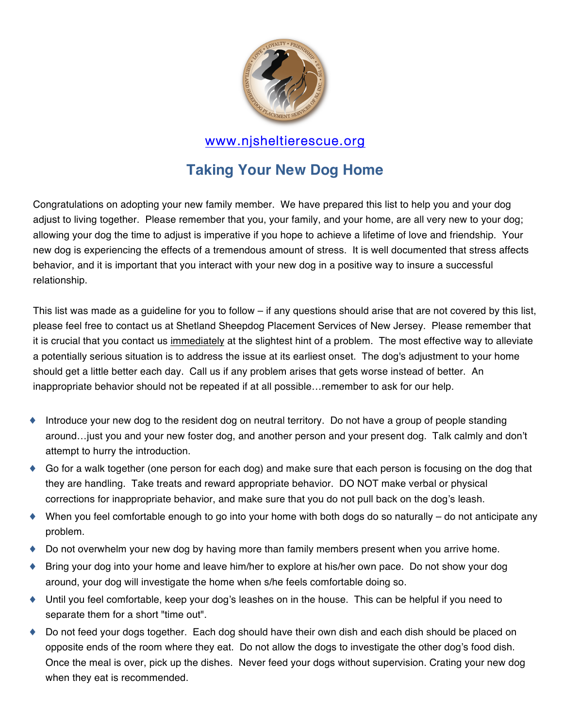

# **Taking Your New Dog Home**

Congratulations on adopting your new family member. We have prepared this list to help you and your dog adjust to living together. Please remember that you, your family, and your home, are all very new to your dog; allowing your dog the time to adjust is imperative if you hope to achieve a lifetime of love and friendship. Your new dog is experiencing the effects of a tremendous amount of stress. It is well documented that stress affects behavior, and it is important that you interact with your new dog in a positive way to insure a successful relationship.

This list was made as a guideline for you to follow – if any questions should arise that are not covered by this list, please feel free to contact us at Shetland Sheepdog Placement Services of New Jersey. Please remember that it is crucial that you contact us immediately at the slightest hint of a problem. The most effective way to alleviate a potentially serious situation is to address the issue at its earliest onset. The dog's adjustment to your home should get a little better each day. Call us if any problem arises that gets worse instead of better. An inappropriate behavior should not be repeated if at all possible…remember to ask for our help.

- ♦ Introduce your new dog to the resident dog on neutral territory. Do not have a group of people standing around…just you and your new foster dog, and another person and your present dog. Talk calmly and don't attempt to hurry the introduction.
- ♦ Go for a walk together (one person for each dog) and make sure that each person is focusing on the dog that they are handling. Take treats and reward appropriate behavior. DO NOT make verbal or physical corrections for inappropriate behavior, and make sure that you do not pull back on the dog's leash.
- ♦ When you feel comfortable enough to go into your home with both dogs do so naturally do not anticipate any problem.
- ♦ Do not overwhelm your new dog by having more than family members present when you arrive home.
- Bring your dog into your home and leave him/her to explore at his/her own pace. Do not show your dog around, your dog will investigate the home when s/he feels comfortable doing so.
- ♦ Until you feel comfortable, keep your dog's leashes on in the house. This can be helpful if you need to separate them for a short "time out".
- ♦ Do not feed your dogs together. Each dog should have their own dish and each dish should be placed on opposite ends of the room where they eat. Do not allow the dogs to investigate the other dog's food dish. Once the meal is over, pick up the dishes. Never feed your dogs without supervision. Crating your new dog when they eat is recommended.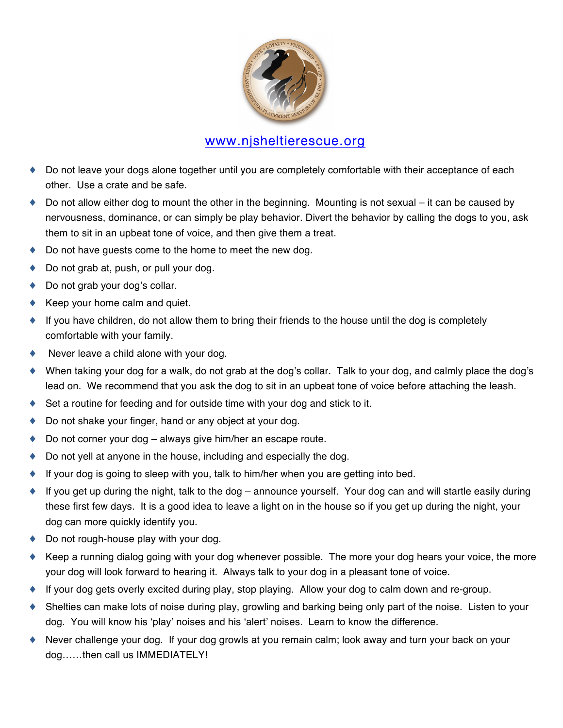

- ♦ Do not leave your dogs alone together until you are completely comfortable with their acceptance of each other. Use a crate and be safe.
- ♦ Do not allow either dog to mount the other in the beginning. Mounting is not sexual it can be caused by nervousness, dominance, or can simply be play behavior. Divert the behavior by calling the dogs to you, ask them to sit in an upbeat tone of voice, and then give them a treat.
- Do not have guests come to the home to meet the new dog.
- Do not grab at, push, or pull your dog.
- ◆ Do not grab your dog's collar.
- Keep your home calm and quiet.
- ♦ If you have children, do not allow them to bring their friends to the house until the dog is completely comfortable with your family.
- ♦ Never leave a child alone with your dog.
- ♦ When taking your dog for a walk, do not grab at the dog's collar. Talk to your dog, and calmly place the dog's lead on. We recommend that you ask the dog to sit in an upbeat tone of voice before attaching the leash.
- ♦ Set a routine for feeding and for outside time with your dog and stick to it.
- Do not shake your finger, hand or any object at your dog.
- Do not corner your dog  $-$  always give him/her an escape route.
- ♦ Do not yell at anyone in the house, including and especially the dog.
- $\bullet$  If your dog is going to sleep with you, talk to him/her when you are getting into bed.
- If you get up during the night, talk to the dog announce yourself. Your dog can and will startle easily during these first few days. It is a good idea to leave a light on in the house so if you get up during the night, your dog can more quickly identify you.
- ◆ Do not rough-house play with your dog.
- ♦ Keep a running dialog going with your dog whenever possible. The more your dog hears your voice, the more your dog will look forward to hearing it. Always talk to your dog in a pleasant tone of voice.
- ♦ If your dog gets overly excited during play, stop playing. Allow your dog to calm down and re-group.
- Shelties can make lots of noise during play, growling and barking being only part of the noise. Listen to your dog. You will know his ʻplay' noises and his ʻalert' noises. Learn to know the difference.
- ♦ Never challenge your dog. If your dog growls at you remain calm; look away and turn your back on your dog……then call us IMMEDIATELY!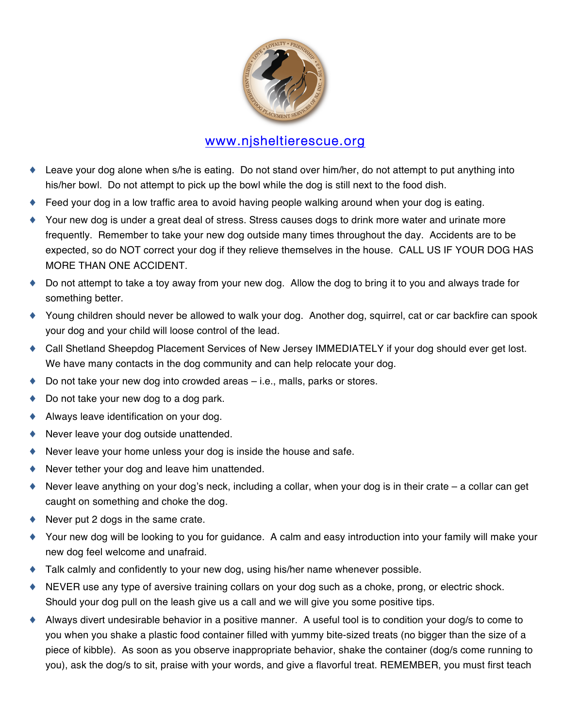

- ♦ Leave your dog alone when s/he is eating. Do not stand over him/her, do not attempt to put anything into his/her bowl. Do not attempt to pick up the bowl while the dog is still next to the food dish.
- ♦ Feed your dog in a low traffic area to avoid having people walking around when your dog is eating.
- ♦ Your new dog is under a great deal of stress. Stress causes dogs to drink more water and urinate more frequently. Remember to take your new dog outside many times throughout the day. Accidents are to be expected, so do NOT correct your dog if they relieve themselves in the house. CALL US IF YOUR DOG HAS MORE THAN ONE ACCIDENT.
- ♦ Do not attempt to take a toy away from your new dog. Allow the dog to bring it to you and always trade for something better.
- ♦ Young children should never be allowed to walk your dog. Another dog, squirrel, cat or car backfire can spook your dog and your child will loose control of the lead.
- ♦ Call Shetland Sheepdog Placement Services of New Jersey IMMEDIATELY if your dog should ever get lost. We have many contacts in the dog community and can help relocate your dog.
- $\bullet$  Do not take your new dog into crowded areas  $-$  i.e., malls, parks or stores.
- ◆ Do not take your new dog to a dog park.
- ♦ Always leave identification on your dog.
- Never leave your dog outside unattended.
- ♦ Never leave your home unless your dog is inside the house and safe.
- Never tether your dog and leave him unattended.
- ♦ Never leave anything on your dog's neck, including a collar, when your dog is in their crate a collar can get caught on something and choke the dog.
- $\blacklozenge$  Never put 2 dogs in the same crate.
- ♦ Your new dog will be looking to you for guidance. A calm and easy introduction into your family will make your new dog feel welcome and unafraid.
- ♦ Talk calmly and confidently to your new dog, using his/her name whenever possible.
- NEVER use any type of aversive training collars on your dog such as a choke, prong, or electric shock. Should your dog pull on the leash give us a call and we will give you some positive tips.
- ♦ Always divert undesirable behavior in a positive manner. A useful tool is to condition your dog/s to come to you when you shake a plastic food container filled with yummy bite-sized treats (no bigger than the size of a piece of kibble). As soon as you observe inappropriate behavior, shake the container (dog/s come running to you), ask the dog/s to sit, praise with your words, and give a flavorful treat. REMEMBER, you must first teach